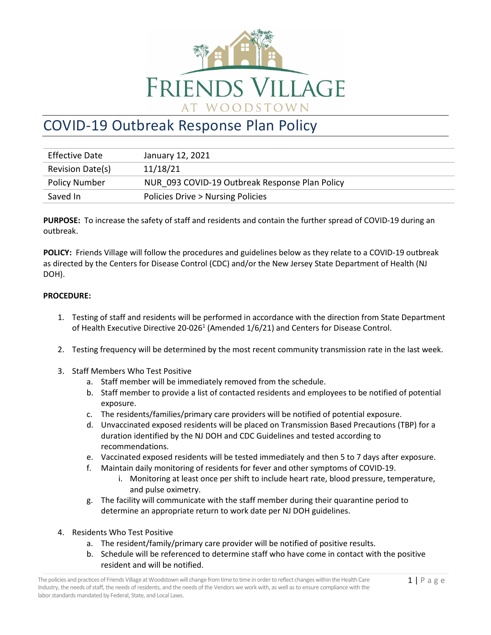

## COVID-19 Outbreak Response Plan Policy

| <b>Effective Date</b> | January 12, 2021                               |
|-----------------------|------------------------------------------------|
| Revision Date(s)      | 11/18/21                                       |
| <b>Policy Number</b>  | NUR 093 COVID-19 Outbreak Response Plan Policy |
| Saved In              | Policies Drive > Nursing Policies              |

**PURPOSE:** To increase the safety of staff and residents and contain the further spread of COVID-19 during an outbreak.

**POLICY:** Friends Village will follow the procedures and guidelines below as they relate to a COVID-19 outbreak as directed by the Centers for Disease Control (CDC) and/or the New Jersey State Department of Health (NJ DOH).

## **PROCEDURE:**

- 1. Testing of staff and residents will be performed in accordance with the direction from State Department of Health Executive Directive 20-026<sup>1</sup> (Amended  $1/6/21$ ) and Centers for Disease Control.
- 2. Testing frequency will be determined by the most recent community transmission rate in the last week.
- 3. Staff Members Who Test Positive
	- a. Staff member will be immediately removed from the schedule.
	- b. Staff member to provide a list of contacted residents and employees to be notified of potential exposure.
	- c. The residents/families/primary care providers will be notified of potential exposure.
	- d. Unvaccinated exposed residents will be placed on Transmission Based Precautions (TBP) for a duration identified by the NJ DOH and CDC Guidelines and tested according to recommendations.
	- e. Vaccinated exposed residents will be tested immediately and then 5 to 7 days after exposure.
	- f. Maintain daily monitoring of residents for fever and other symptoms of COVID-19.
		- i. Monitoring at least once per shift to include heart rate, blood pressure, temperature, and pulse oximetry.
	- g. The facility will communicate with the staff member during their quarantine period to determine an appropriate return to work date per NJ DOH guidelines.
- 4. Residents Who Test Positive
	- a. The resident/family/primary care provider will be notified of positive results.
	- b. Schedule will be referenced to determine staff who have come in contact with the positive resident and will be notified.

The policies and practices of Friends Village at Woodstown will change from time to time in order to reflect changes within the Health Care  $1 \mid P$  a ge Industry, the needs of staff, the needs of residents, and the needs of the Vendors we work with, as well as to ensure compliance with the labor standards mandated by Federal, State, and Local Laws.